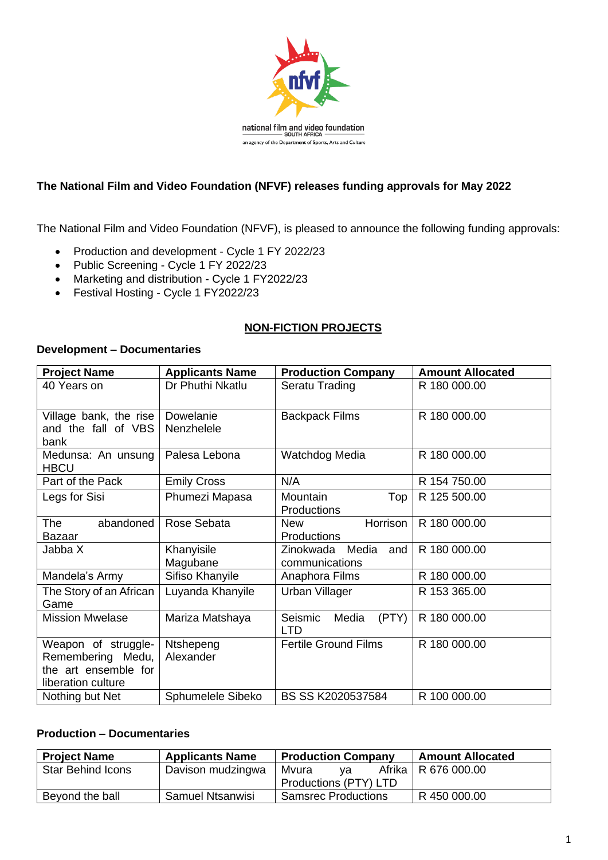

### **The National Film and Video Foundation (NFVF) releases funding approvals for May 2022**

The National Film and Video Foundation (NFVF), is pleased to announce the following funding approvals:

- Production and development Cycle 1 FY 2022/23
- Public Screening Cycle 1 FY 2022/23
- Marketing and distribution Cycle 1 FY2022/23
- Festival Hosting Cycle 1 FY2022/23

### **NON-FICTION PROJECTS**

#### **Development – Documentaries**

| <b>Project Name</b>               | <b>Applicants Name</b> | <b>Production Company</b>               | <b>Amount Allocated</b> |
|-----------------------------------|------------------------|-----------------------------------------|-------------------------|
| 40 Years on                       | Dr Phuthi Nkatlu       | Seratu Trading                          | R 180 000.00            |
| Village bank, the rise            | Dowelanie              | <b>Backpack Films</b>                   | R 180 000.00            |
| and the fall of VBS               | Nenzhelele             |                                         |                         |
| bank                              |                        |                                         |                         |
| Medunsa: An unsung<br><b>HBCU</b> | Palesa Lebona          | Watchdog Media                          | R 180 000.00            |
| Part of the Pack                  | <b>Emily Cross</b>     | N/A                                     | R 154 750.00            |
| Legs for Sisi                     | Phumezi Mapasa         | Mountain<br>Top                         | R 125 500.00            |
|                                   |                        | <b>Productions</b>                      |                         |
| abandoned<br><b>The</b>           | Rose Sebata            | Horrison<br><b>New</b>                  | R 180 000.00            |
| <b>Bazaar</b>                     |                        | <b>Productions</b>                      |                         |
| Jabba X                           | Khanyisile             | Media<br>Zinokwada<br>and               | R 180 000.00            |
|                                   | Magubane               | communications                          |                         |
| Mandela's Army                    | Sifiso Khanyile        | Anaphora Films                          | R 180 000.00            |
| The Story of an African           | Luyanda Khanyile       | Urban Villager                          | R 153 365.00            |
| Game                              |                        |                                         |                         |
| <b>Mission Mwelase</b>            | Mariza Matshaya        | Seismic<br>(PTY)<br>Media<br><b>LTD</b> | R 180 000.00            |
| Weapon of struggle-               | Ntshepeng              | <b>Fertile Ground Films</b>             | R 180 000.00            |
| Remembering Medu,                 | Alexander              |                                         |                         |
| the art ensemble for              |                        |                                         |                         |
| liberation culture                |                        |                                         |                         |
| Nothing but Net                   | Sphumelele Sibeko      | BS SS K2020537584                       | R 100 000.00            |

### **Production – Documentaries**

| <b>Project Name</b>      | <b>Applicants Name</b>  | <b>Production Company</b>  | <b>Amount Allocated</b> |
|--------------------------|-------------------------|----------------------------|-------------------------|
| <b>Star Behind Icons</b> | Davison mudzingwa       | Mvura<br>va                | Afrika   R 676 000.00   |
|                          |                         | Productions (PTY) LTD      |                         |
| Beyond the ball          | <b>Samuel Ntsanwisi</b> | <b>Samsrec Productions</b> | R 450 000.00            |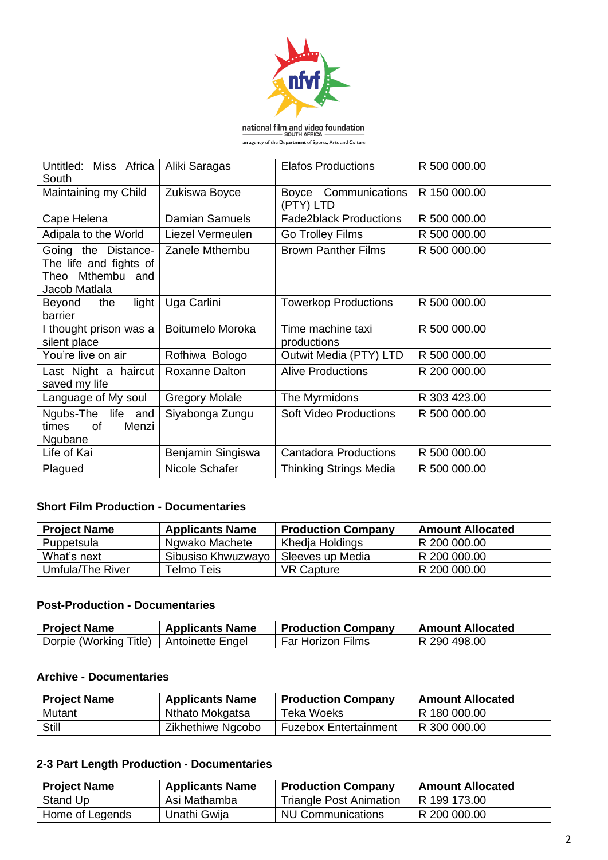

**national film and video foundation**<br>SOUTH AFRICA

| an agency of the Department of Sports, Arts and Culture |  |
|---------------------------------------------------------|--|
|                                                         |  |

| Untitled: Miss Africa<br>South                                                     | Aliki Saragas         | <b>Elafos Productions</b>            | R 500 000.00 |
|------------------------------------------------------------------------------------|-----------------------|--------------------------------------|--------------|
| Maintaining my Child                                                               | Zukiswa Boyce         | Communications<br>Boyce<br>(PTY) LTD | R 150 000.00 |
| Cape Helena                                                                        | <b>Damian Samuels</b> | <b>Fade2black Productions</b>        | R 500 000.00 |
| Adipala to the World                                                               | Liezel Vermeulen      | Go Trolley Films                     | R 500 000.00 |
| Going the Distance-<br>The life and fights of<br>Theo Mthembu and<br>Jacob Matlala | Zanele Mthembu        | <b>Brown Panther Films</b>           | R 500 000.00 |
| light<br>Beyond<br>the<br>barrier                                                  | Uga Carlini           | <b>Towerkop Productions</b>          | R 500 000.00 |
| I thought prison was a<br>silent place                                             | Boitumelo Moroka      | Time machine taxi<br>productions     | R 500 000.00 |
| You're live on air                                                                 | Rofhiwa Bologo        | Outwit Media (PTY) LTD               | R 500 000.00 |
| Last Night a haircut<br>saved my life                                              | <b>Roxanne Dalton</b> | <b>Alive Productions</b>             | R 200 000.00 |
| Language of My soul                                                                | <b>Gregory Molale</b> | The Myrmidons                        | R 303 423.00 |
| Ngubs-The life and<br>times<br>0f<br>Menzi<br>Ngubane                              | Siyabonga Zungu       | <b>Soft Video Productions</b>        | R 500 000.00 |
| Life of Kai                                                                        | Benjamin Singiswa     | <b>Cantadora Productions</b>         | R 500 000.00 |
| Plagued                                                                            | Nicole Schafer        | <b>Thinking Strings Media</b>        | R 500 000.00 |

### **Short Film Production - Documentaries**

| <b>Project Name</b> | <b>Applicants Name</b> | <b>Production Company</b> | <b>Amount Allocated</b> |
|---------------------|------------------------|---------------------------|-------------------------|
| Puppetsula          | Ngwako Machete         | Khedja Holdings           | R 200 000.00            |
| What's next         | Sibusiso Khwuzwayo     | Sleeves up Media          | R 200 000.00            |
| Umfula/The River    | Telmo Teis.            | <b>VR Capture</b>         | R 200 000.00            |

#### **Post-Production - Documentaries**

| <b>Project Name</b>                       | <b>Applicants Name</b> | <b>Production Company</b> | Amount Allocated |
|-------------------------------------------|------------------------|---------------------------|------------------|
| Dorpie (Working Title)   Antoinette Engel |                        | Far Horizon Films         | R 290 498.00     |

### **Archive - Documentaries**

| <b>Project Name</b> | <b>Applicants Name</b> | <b>Production Company</b>    | <b>Amount Allocated</b> |
|---------------------|------------------------|------------------------------|-------------------------|
| Mutant              | Nthato Mokgatsa        | Teka Woeks                   | R 180 000.00            |
| Still               | Zikhethiwe Ngcobo      | <b>Fuzebox Entertainment</b> | R 300 000.00            |

### **2-3 Part Length Production - Documentaries**

| <b>Project Name</b> | <b>Applicants Name</b> | <b>Production Company</b>      | <b>Amount Allocated</b> |
|---------------------|------------------------|--------------------------------|-------------------------|
| Stand Up            | Asi Mathamba           | <b>Triangle Post Animation</b> | R 199 173.00            |
| Home of Legends     | Unathi Gwija           | NU Communications              | R 200 000.00            |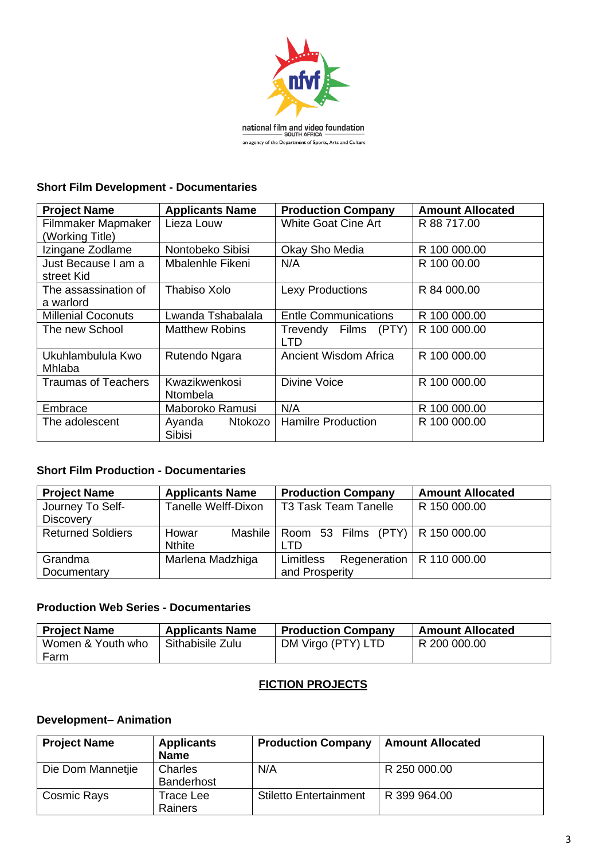

**national film and video foundation**<br>SOUTH AFRICA<br>an agency of the Department of Sports, Arts and Culture

### **Short Film Development - Documentaries**

| <b>Project Name</b>                   | <b>Applicants Name</b>           | <b>Production Company</b>       | <b>Amount Allocated</b> |
|---------------------------------------|----------------------------------|---------------------------------|-------------------------|
| Filmmaker Mapmaker<br>(Working Title) | Lieza Louw                       | <b>White Goat Cine Art</b>      | R 88 717.00             |
| Izingane Zodlame                      | Nontobeko Sibisi                 | Okay Sho Media                  | R 100 000.00            |
| Just Because I am a<br>street Kid     | Mbalenhle Fikeni                 | N/A                             | R 100 00.00             |
| The assassination of<br>a warlord     | Thabiso Xolo                     | <b>Lexy Productions</b>         | R 84 000,00             |
| <b>Millenial Coconuts</b>             | Lwanda Tshabalala                | <b>Entle Communications</b>     | R 100 000.00            |
| The new School                        | <b>Matthew Robins</b>            | Trevendy Films<br>(PTY)<br>LTD. | R 100 000,00            |
| Ukuhlambulula Kwo<br>Mhlaba           | Rutendo Ngara                    | Ancient Wisdom Africa           | R 100 000,00            |
| <b>Traumas of Teachers</b>            | Kwazikwenkosi<br><b>Ntombela</b> | <b>Divine Voice</b>             | R 100 000,00            |
| Embrace                               | Maboroko Ramusi                  | N/A                             | R 100 000.00            |
| The adolescent                        | Ayanda Ntokozo<br><b>Sibisi</b>  | <b>Hamilre Production</b>       | R 100 000,00            |

### **Short Film Production - Documentaries**

| <b>Project Name</b>      | <b>Applicants Name</b> | <b>Production Company</b>                    | <b>Amount Allocated</b> |
|--------------------------|------------------------|----------------------------------------------|-------------------------|
| Journey To Self-         | Tanelle Welff-Dixon    | <b>T3 Task Team Tanelle</b>                  | R 150 000.00            |
| <b>Discovery</b>         |                        |                                              |                         |
| <b>Returned Soldiers</b> | Howar                  | Mashile   Room 53 Films (PTY)   R 150 000.00 |                         |
|                          | <b>Nthite</b>          | חד ו                                         |                         |
| Grandma                  | Marlena Madzhiga       | Regeneration   R 110 000.00<br>Limitless     |                         |
| Documentary              |                        | and Prosperity                               |                         |

### **Production Web Series - Documentaries**

| <b>Project Name</b> | <b>Applicants Name</b> | <b>Production Company</b> | <b>Amount Allocated</b> |
|---------------------|------------------------|---------------------------|-------------------------|
| Women & Youth who   | Sithabisile Zulu       | DM Virgo (PTY) LTD        | R 200 000.00            |
| Farm                |                        |                           |                         |

### **FICTION PROJECTS**

### **Development– Animation**

| <b>Project Name</b> | <b>Applicants</b><br><b>Name</b> | <b>Production Company</b>     | <b>Amount Allocated</b> |
|---------------------|----------------------------------|-------------------------------|-------------------------|
| Die Dom Mannetjie   | Charles<br><b>Banderhost</b>     | N/A                           | R 250 000.00            |
| <b>Cosmic Rays</b>  | Trace Lee<br><b>Rainers</b>      | <b>Stiletto Entertainment</b> | R 399 964.00            |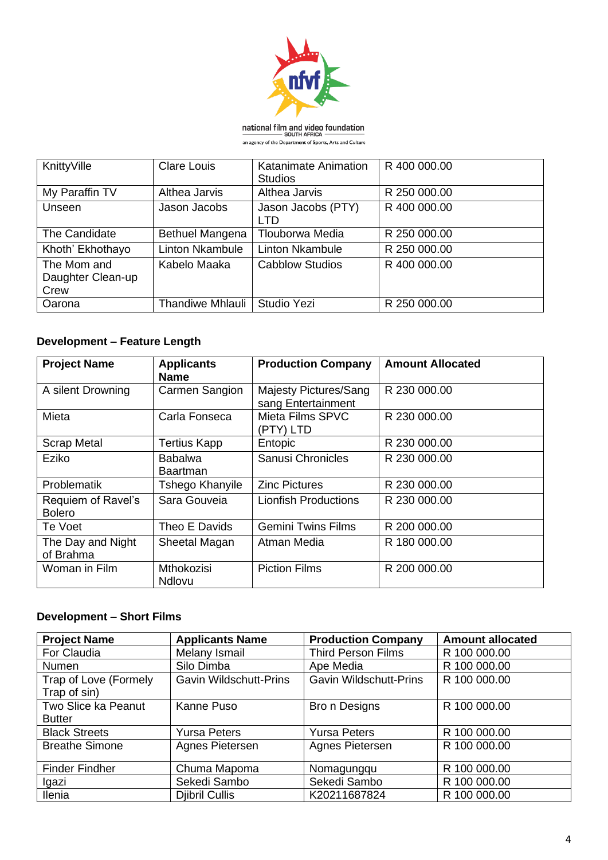

**national film and video foundation**<br>SOUTH AFRICA<br>an agency of the Department of Sports, Arts and Culture

| KnittyVille                              | <b>Clare Louis</b>      | Katanimate Animation<br><b>Studios</b> | R 400 000.00 |
|------------------------------------------|-------------------------|----------------------------------------|--------------|
| My Paraffin TV                           | Althea Jarvis           | Althea Jarvis                          | R 250 000.00 |
| Unseen                                   | Jason Jacobs            | Jason Jacobs (PTY)<br>LTD              | R 400 000.00 |
| The Candidate                            | Bethuel Mangena         | Tlouborwa Media                        | R 250 000.00 |
| Khoth' Ekhothayo                         | <b>Linton Nkambule</b>  | <b>Linton Nkambule</b>                 | R 250 000.00 |
| The Mom and<br>Daughter Clean-up<br>Crew | Kabelo Maaka            | <b>Cabblow Studios</b>                 | R 400 000,00 |
| Oarona                                   | <b>Thandiwe Mhlauli</b> | Studio Yezi                            | R 250 000.00 |

# **Development – Feature Length**

| <b>Project Name</b>                 | <b>Applicants</b><br><b>Name</b>   | <b>Production Company</b>                   | <b>Amount Allocated</b> |
|-------------------------------------|------------------------------------|---------------------------------------------|-------------------------|
| A silent Drowning                   | Carmen Sangion                     | Majesty Pictures/Sang<br>sang Entertainment | R 230 000.00            |
| Mieta                               | Carla Fonseca                      | Mieta Films SPVC<br>(PTY) LTD               | R 230 000.00            |
| <b>Scrap Metal</b>                  | <b>Tertius Kapp</b>                | Entopic                                     | R 230 000.00            |
| Eziko                               | <b>Babalwa</b><br><b>Baartman</b>  | Sanusi Chronicles                           | R 230 000.00            |
| <b>Problematik</b>                  | Tshego Khanyile                    | <b>Zinc Pictures</b>                        | R 230 000.00            |
| Requiem of Ravel's<br><b>Bolero</b> | Sara Gouveia                       | <b>Lionfish Productions</b>                 | R 230 000.00            |
| Te Voet                             | Theo E Davids                      | <b>Gemini Twins Films</b>                   | R 200 000.00            |
| The Day and Night<br>of Brahma      | Sheetal Magan                      | Atman Media                                 | R 180 000.00            |
| Woman in Film                       | <b>Mthokozisi</b><br><b>Ndlovu</b> | <b>Piction Films</b>                        | R 200 000.00            |

# **Development – Short Films**

| <b>Project Name</b>   | <b>Applicants Name</b>        | <b>Production Company</b>     | <b>Amount allocated</b> |
|-----------------------|-------------------------------|-------------------------------|-------------------------|
| For Claudia           | Melany Ismail                 | <b>Third Person Films</b>     | R 100 000.00            |
| <b>Numen</b>          | Silo Dimba                    | Ape Media                     | R 100 000.00            |
| Trap of Love (Formely | <b>Gavin Wildschutt-Prins</b> | <b>Gavin Wildschutt-Prins</b> | R 100 000.00            |
| Trap of sin)          |                               |                               |                         |
| Two Slice ka Peanut   | Kanne Puso                    | Bro n Designs                 | R 100 000.00            |
| <b>Butter</b>         |                               |                               |                         |
| <b>Black Streets</b>  | <b>Yursa Peters</b>           | <b>Yursa Peters</b>           | R 100 000.00            |
| <b>Breathe Simone</b> | Agnes Pietersen               | Agnes Pietersen               | R 100 000.00            |
|                       |                               |                               |                         |
| <b>Finder Findher</b> | Chuma Mapoma                  | Nomagungqu                    | R 100 000.00            |
| Igazi                 | Sekedi Sambo                  | Sekedi Sambo                  | R 100 000.00            |
| Ilenia                | <b>Djibril Cullis</b>         | K20211687824                  | R 100 000.00            |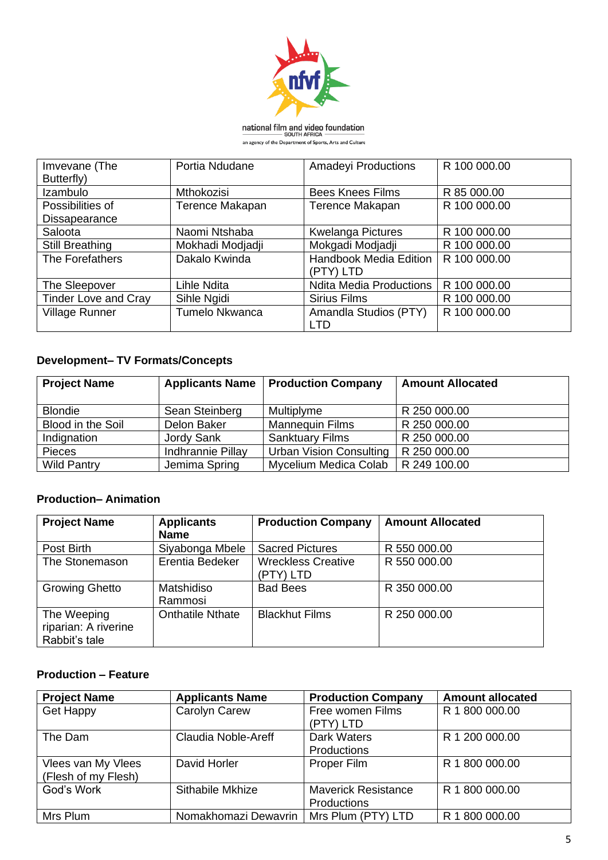

**national film and video foundation**<br>SOUTH AFRICA<br>an agency of the Department of Sports, Arts and Culture

| Imvevane (The               | Portia Ndudane   | <b>Amadeyi Productions</b>     | R 100 000.00 |
|-----------------------------|------------------|--------------------------------|--------------|
| Butterfly)                  |                  |                                |              |
| Izambulo                    | Mthokozisi       | <b>Bees Knees Films</b>        | R 85 000.00  |
| Possibilities of            | Terence Makapan  | Terence Makapan                | R 100 000.00 |
| Dissapearance               |                  |                                |              |
| Saloota                     | Naomi Ntshaba    | <b>Kwelanga Pictures</b>       | R 100 000.00 |
| <b>Still Breathing</b>      | Mokhadi Modjadji | Mokgadi Modjadji               | R 100 000.00 |
| The Forefathers             | Dakalo Kwinda    | Handbook Media Edition         | R 100 000.00 |
|                             |                  | (PTY) LTD                      |              |
| The Sleepover               | Lihle Ndita      | <b>Ndita Media Productions</b> | R 100 000.00 |
| <b>Tinder Love and Cray</b> | Sihle Ngidi      | <b>Sirius Films</b>            | R 100 000.00 |
| <b>Village Runner</b>       | Tumelo Nkwanca   | Amandla Studios (PTY)          | R 100 000.00 |
|                             |                  | LTD                            |              |

# **Development– TV Formats/Concepts**

| <b>Project Name</b> | <b>Applicants Name</b> | <b>Production Company</b>      | <b>Amount Allocated</b> |
|---------------------|------------------------|--------------------------------|-------------------------|
| <b>Blondie</b>      | Sean Steinberg         | Multiplyme                     | R 250 000.00            |
| Blood in the Soil   | Delon Baker            | <b>Mannequin Films</b>         | R 250 000.00            |
| Indignation         | Jordy Sank             | <b>Sanktuary Films</b>         | R 250 000.00            |
| <b>Pieces</b>       | Indhrannie Pillay      | <b>Urban Vision Consulting</b> | R 250 000.00            |
| <b>Wild Pantry</b>  | Jemima Spring          | Mycelium Medica Colab          | R 249 100.00            |

# **Production– Animation**

| <b>Project Name</b>   | <b>Applicants</b>       | <b>Production Company</b> | <b>Amount Allocated</b> |
|-----------------------|-------------------------|---------------------------|-------------------------|
|                       | <b>Name</b>             |                           |                         |
| Post Birth            | Siyabonga Mbele         | <b>Sacred Pictures</b>    | R 550 000.00            |
| The Stonemason        | Erentia Bedeker         | <b>Wreckless Creative</b> | R 550 000.00            |
|                       |                         | (PTY) LTD                 |                         |
| <b>Growing Ghetto</b> | Matshidiso              | <b>Bad Bees</b>           | R 350 000.00            |
|                       | Rammosi                 |                           |                         |
| The Weeping           | <b>Onthatile Nthate</b> | <b>Blackhut Films</b>     | R 250 000.00            |
| riparian: A riverine  |                         |                           |                         |
| Rabbit's tale         |                         |                           |                         |

#### **Production – Feature**

| <b>Project Name</b> | <b>Applicants Name</b> | <b>Production Company</b>  | <b>Amount allocated</b> |
|---------------------|------------------------|----------------------------|-------------------------|
| <b>Get Happy</b>    | Carolyn Carew          | Free women Films           | R 1 800 000.00          |
|                     |                        | (PTY) LTD                  |                         |
| The Dam             | Claudia Noble-Areff    | <b>Dark Waters</b>         | R 1 200 000.00          |
|                     |                        | Productions                |                         |
| Vlees van My Vlees  | David Horler           | Proper Film                | R 1 800 000.00          |
| (Flesh of my Flesh) |                        |                            |                         |
| God's Work          | Sithabile Mkhize       | <b>Maverick Resistance</b> | R 1 800 000.00          |
|                     |                        | <b>Productions</b>         |                         |
| Mrs Plum            | Nomakhomazi Dewavrin   | Mrs Plum (PTY) LTD         | R 1 800 000.00          |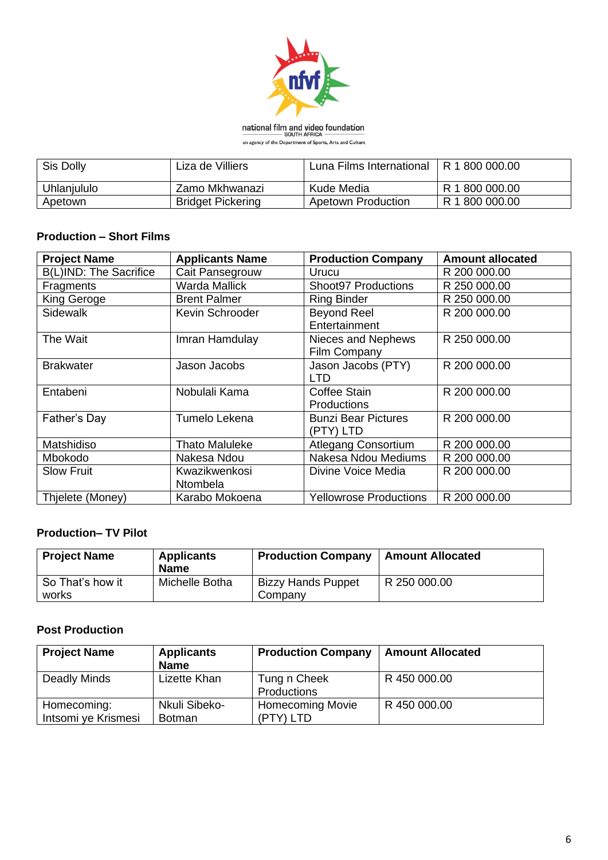

**national film and video foundation**<br>SOUTH AFRICA<br>an agency of the Department of Sports, Arts and Culture

| Sis Dolly   | Liza de Villiers         | Luna Films International | R 1 800 000.00 |
|-------------|--------------------------|--------------------------|----------------|
| Uhlanjululo | Zamo Mkhwanazi           | Kude Media               | R 1 800 000.00 |
| Apetown     | <b>Bridget Pickering</b> | Apetown Production       | R 1 800 000.00 |

### **Production – Short Films**

| <b>Project Name</b>           | <b>Applicants Name</b>    | <b>Production Company</b>               | <b>Amount allocated</b> |
|-------------------------------|---------------------------|-----------------------------------------|-------------------------|
| <b>B(L)IND: The Sacrifice</b> | Cait Pansegrouw           | Urucu                                   | R 200 000.00            |
| Fragments                     | Warda Mallick             | <b>Shoot97 Productions</b>              | R 250 000.00            |
| King Geroge                   | <b>Brent Palmer</b>       | <b>Ring Binder</b>                      | R 250 000.00            |
| <b>Sidewalk</b>               | Kevin Schrooder           | <b>Beyond Reel</b><br>Entertainment     | R 200 000.00            |
| The Wait                      | Imran Hamdulay            | Nieces and Nephews<br>Film Company      | R 250 000.00            |
| <b>Brakwater</b>              | Jason Jacobs              | Jason Jacobs (PTY)<br>LTD               | R 200 000.00            |
| Entabeni                      | Nobulali Kama             | Coffee Stain<br><b>Productions</b>      | R 200 000.00            |
| Father's Day                  | Tumelo Lekena             | <b>Bunzi Bear Pictures</b><br>(PTY) LTD | R 200 000.00            |
| Matshidiso                    | <b>Thato Maluleke</b>     | <b>Atlegang Consortium</b>              | R 200 000.00            |
| Mbokodo                       | Nakesa Ndou               | Nakesa Ndou Mediums                     | R 200 000.00            |
| <b>Slow Fruit</b>             | Kwazikwenkosi<br>Ntombela | Divine Voice Media                      | R 200 000.00            |
| Thjelete (Money)              | Karabo Mokoena            | <b>Yellowrose Productions</b>           | R 200 000.00            |

# **Production– TV Pilot**

| <b>Project Name</b>       | <b>Applicants</b><br><b>Name</b> | <b>Production Company</b>            | <b>Amount Allocated</b> |
|---------------------------|----------------------------------|--------------------------------------|-------------------------|
| So That's how it<br>works | Michelle Botha                   | <b>Bizzy Hands Puppet</b><br>Company | R 250 000.00            |

#### **Post Production**

| <b>Project Name</b>                | <b>Applicants</b><br><b>Name</b> | <b>Production Company</b>            | <b>Amount Allocated</b> |
|------------------------------------|----------------------------------|--------------------------------------|-------------------------|
| Deadly Minds                       | Lizette Khan                     | Tung n Cheek<br>Productions          | R 450 000.00            |
| Homecoming:<br>Intsomi ye Krismesi | Nkuli Sibeko-<br><b>Botman</b>   | <b>Homecoming Movie</b><br>(PTY) LTD | R 450 000.00            |